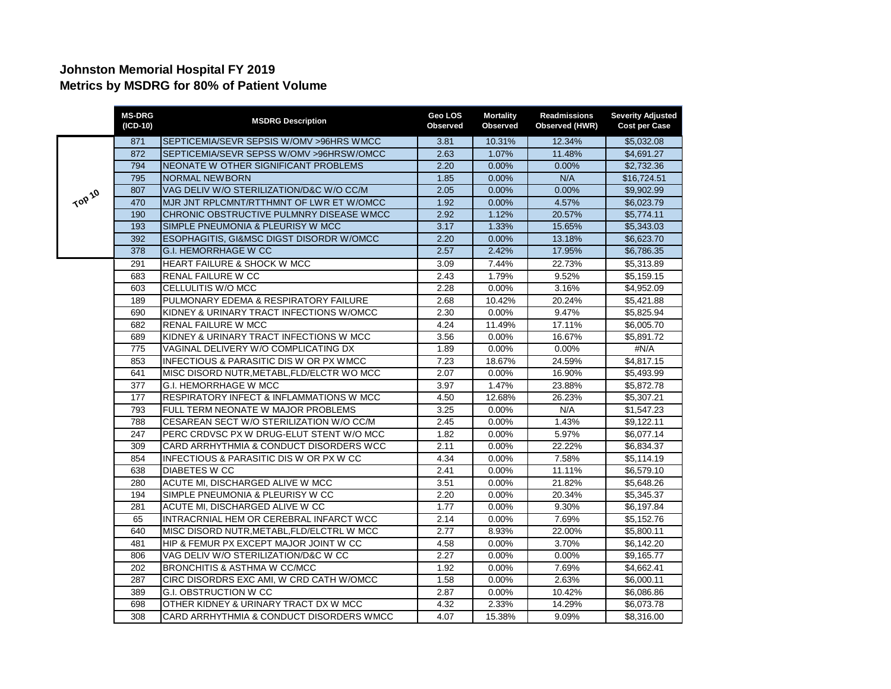## **Johnston Memorial Hospital FY 2019 Metrics by MSDRG for 80% of Patient Volume**

|        | <b>MS-DRG</b><br>(ICD-10) | <b>MSDRG Description</b>                   | Geo LOS<br><b>Observed</b> | <b>Mortality</b><br>Observed | <b>Readmissions</b><br>Observed (HWR) | <b>Severity Adjusted</b><br><b>Cost per Case</b> |
|--------|---------------------------|--------------------------------------------|----------------------------|------------------------------|---------------------------------------|--------------------------------------------------|
|        | 871                       | SEPTICEMIA/SEVR SEPSIS W/OMV >96HRS WMCC   | 3.81                       | 10.31%                       | 12.34%                                | \$5,032.08                                       |
|        | 872                       | SEPTICEMIA/SEVR SEPSS W/OMV >96HRSW/OMCC   | 2.63                       | 1.07%                        | 11.48%                                | \$4,691.27                                       |
|        | 794                       | NEONATE W OTHER SIGNIFICANT PROBLEMS       | 2.20                       | $0.00\%$                     | 0.00%                                 | \$2,732.36                                       |
|        | 795                       | <b>NORMAL NEWBORN</b>                      | 1.85                       | 0.00%                        | N/A                                   | \$16,724.51                                      |
|        | 807                       | VAG DELIV W/O STERILIZATION/D&C W/O CC/M   | 2.05                       | 0.00%                        | 0.00%                                 | \$9,902.99                                       |
| TOP 10 | 470                       | MJR JNT RPLCMNT/RTTHMNT OF LWR ET W/OMCC   | 1.92                       | 0.00%                        | 4.57%                                 | \$6,023.79                                       |
|        | 190                       | CHRONIC OBSTRUCTIVE PULMNRY DISEASE WMCC   | 2.92                       | 1.12%                        | 20.57%                                | \$5,774.11                                       |
|        | 193                       | SIMPLE PNEUMONIA & PLEURISY W MCC          | 3.17                       | 1.33%                        | 15.65%                                | \$5,343.03                                       |
|        | 392                       | ESOPHAGITIS. GI&MSC DIGST DISORDR W/OMCC   | 2.20                       | $0.00\%$                     | 13.18%                                | \$6,623.70                                       |
|        | 378                       | <b>G.I. HEMORRHAGE W CC</b>                | 2.57                       | 2.42%                        | 17.95%                                | \$6,786.35                                       |
|        | 291                       | <b>HEART FAILURE &amp; SHOCK W MCC</b>     | 3.09                       | 7.44%                        | 22.73%                                | \$5,313.89                                       |
|        | 683                       | RENAL FAILURE W CC                         | 2.43                       | 1.79%                        | 9.52%                                 | \$5,159.15                                       |
|        | 603                       | CELLULITIS W/O MCC                         | 2.28                       | $0.00\%$                     | 3.16%                                 | \$4,952.09                                       |
|        | 189                       | PULMONARY EDEMA & RESPIRATORY FAILURE      | 2.68                       | 10.42%                       | 20.24%                                | \$5,421.88                                       |
|        | 690                       | KIDNEY & URINARY TRACT INFECTIONS W/OMCC   | 2.30                       | 0.00%                        | 9.47%                                 | \$5,825.94                                       |
|        | 682                       | <b>RENAL FAILURE W MCC</b>                 | 4.24                       | 11.49%                       | 17.11%                                | \$6,005.70                                       |
|        | 689                       | KIDNEY & URINARY TRACT INFECTIONS W MCC    | 3.56                       | $0.00\%$                     | 16.67%                                | \$5,891.72                                       |
|        | 775                       | VAGINAL DELIVERY W/O COMPLICATING DX       | 1.89                       | 0.00%                        | 0.00%                                 | #N/A                                             |
|        | 853                       | INFECTIOUS & PARASITIC DIS W OR PX WMCC    | 7.23                       | 18.67%                       | 24.59%                                | \$4,817.15                                       |
|        | 641                       | MISC DISORD NUTR, METABL, FLD/ELCTR WO MCC | 2.07                       | 0.00%                        | 16.90%                                | \$5,493.99                                       |
|        | $\overline{377}$          | <b>G.I. HEMORRHAGE W MCC</b>               | 3.97                       | 1.47%                        | 23.88%                                | \$5,872.78                                       |
|        | 177                       | RESPIRATORY INFECT & INFLAMMATIONS W MCC   | 4.50                       | 12.68%                       | 26.23%                                | \$5,307.21                                       |
|        | 793                       | FULL TERM NEONATE W MAJOR PROBLEMS         | 3.25                       | $0.00\%$                     | N/A                                   | \$1,547.23                                       |
|        | 788                       | CESAREAN SECT W/O STERILIZATION W/O CC/M   | 2.45                       | $0.00\%$                     | 1.43%                                 | \$9,122.11                                       |
|        | 247                       | PERC CRDVSC PX W DRUG-ELUT STENT W/O MCC   | 1.82                       | 0.00%                        | 5.97%                                 | \$6,077.14                                       |
|        | 309                       | CARD ARRHYTHMIA & CONDUCT DISORDERS WCC    | 2.11                       | $0.00\%$                     | 22.22%                                | \$6,834.37                                       |
|        | 854                       | INFECTIOUS & PARASITIC DIS W OR PX W CC    | 4.34                       | $0.00\%$                     | 7.58%                                 | \$5,114.19                                       |
|        | 638                       | DIABETES W CC                              | 2.41                       | 0.00%                        | 11.11%                                | \$6,579.10                                       |
|        | 280                       | ACUTE MI, DISCHARGED ALIVE W MCC           | 3.51                       | 0.00%                        | 21.82%                                | \$5,648.26                                       |
|        | 194                       | SIMPLE PNEUMONIA & PLEURISY W CC           | 2.20                       | $0.00\%$                     | 20.34%                                | \$5,345.37                                       |
|        | 281                       | ACUTE MI, DISCHARGED ALIVE W CC            | 1.77                       | $0.00\%$                     | 9.30%                                 | \$6,197.84                                       |
|        | 65                        | INTRACRNIAL HEM OR CEREBRAL INFARCT WCC    | 2.14                       | 0.00%                        | 7.69%                                 | \$5,152.76                                       |
|        | 640                       | MISC DISORD NUTR, METABL, FLD/ELCTRL W MCC | 2.77                       | 8.93%                        | 22.00%                                | \$5,800.11                                       |
|        | 481                       | HIP & FEMUR PX EXCEPT MAJOR JOINT W CC     | 4.58                       | $0.00\%$                     | 3.70%                                 | \$6,142.20                                       |
|        | 806                       | VAG DELIV W/O STERILIZATION/D&C W CC       | 2.27                       | 0.00%                        | 0.00%                                 | \$9,165.77                                       |
|        | 202                       | <b>BRONCHITIS &amp; ASTHMA W CC/MCC</b>    | 1.92                       | 0.00%                        | 7.69%                                 | \$4,662.41                                       |
|        | 287                       | CIRC DISORDRS EXC AMI, W CRD CATH W/OMCC   | 1.58                       | $0.00\%$                     | 2.63%                                 | \$6,000.11                                       |
|        | 389                       | <b>G.I. OBSTRUCTION W CC</b>               | 2.87                       | 0.00%                        | 10.42%                                | \$6,086.86                                       |
|        | 698                       | OTHER KIDNEY & URINARY TRACT DX W MCC      | 4.32                       | 2.33%                        | 14.29%                                | \$6,073.78                                       |
|        | 308                       | CARD ARRHYTHMIA & CONDUCT DISORDERS WMCC   | 4.07                       | 15.38%                       | 9.09%                                 | \$8,316.00                                       |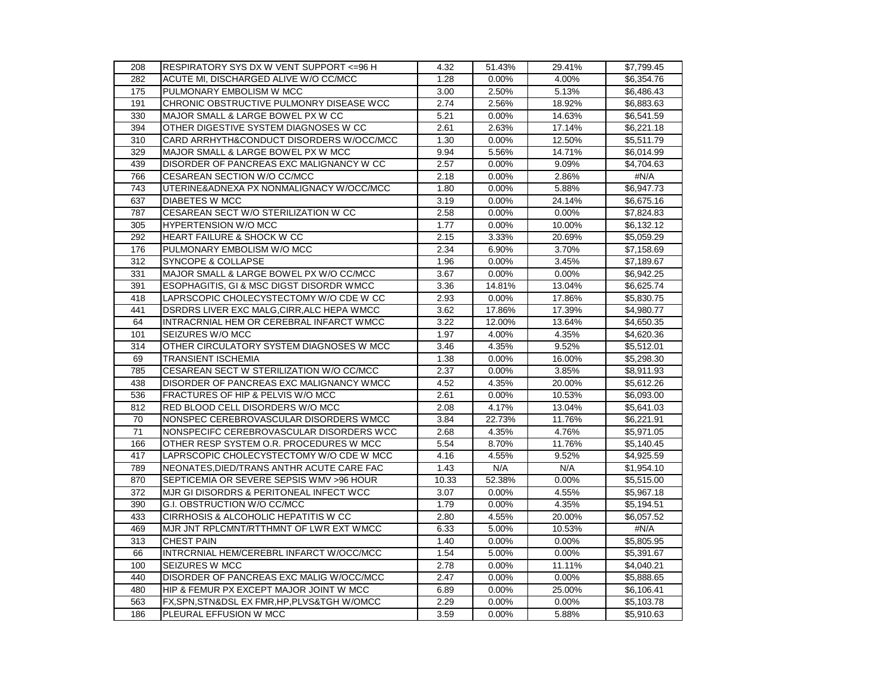| 208 | RESPIRATORY SYS DX W VENT SUPPORT <= 96 H    | 4.32  | 51.43%   | 29.41%   | \$7,799.45 |
|-----|----------------------------------------------|-------|----------|----------|------------|
| 282 | ACUTE MI, DISCHARGED ALIVE W/O CC/MCC        | 1.28  | $0.00\%$ | 4.00%    | \$6,354.76 |
| 175 | PULMONARY EMBOLISM W MCC                     | 3.00  | 2.50%    | 5.13%    | \$6,486.43 |
| 191 | CHRONIC OBSTRUCTIVE PULMONRY DISEASE WCC     | 2.74  | 2.56%    | 18.92%   | \$6,883.63 |
| 330 | MAJOR SMALL & LARGE BOWEL PX W CC            | 5.21  | 0.00%    | 14.63%   | \$6,541.59 |
| 394 | OTHER DIGESTIVE SYSTEM DIAGNOSES W CC        | 2.61  | 2.63%    | 17.14%   | \$6,221.18 |
| 310 | CARD ARRHYTH&CONDUCT DISORDERS W/OCC/MCC     | 1.30  | 0.00%    | 12.50%   | \$5,511.79 |
| 329 | MAJOR SMALL & LARGE BOWEL PX W MCC           | 9.94  | 5.56%    | 14.71%   | \$6,014.99 |
| 439 | DISORDER OF PANCREAS EXC MALIGNANCY W CC     | 2.57  | 0.00%    | 9.09%    | \$4,704.63 |
| 766 | CESAREAN SECTION W/O CC/MCC                  | 2.18  | $0.00\%$ | 2.86%    | #N/A       |
| 743 | UTERINE&ADNEXA PX NONMALIGNACY W/OCC/MCC     | 1.80  | 0.00%    | 5.88%    | \$6,947.73 |
| 637 | <b>DIABETES W MCC</b>                        | 3.19  | 0.00%    | 24.14%   | \$6,675.16 |
| 787 | CESAREAN SECT W/O STERILIZATION W CC         | 2.58  | 0.00%    | 0.00%    | \$7,824.83 |
| 305 | <b>HYPERTENSION W/O MCC</b>                  | 1.77  | $0.00\%$ | 10.00%   | \$6,132.12 |
| 292 | <b>HEART FAILURE &amp; SHOCK W CC</b>        | 2.15  | 3.33%    | 20.69%   | \$5,059.29 |
| 176 | PULMONARY EMBOLISM W/O MCC                   | 2.34  | 6.90%    | 3.70%    | \$7,158.69 |
| 312 | SYNCOPE & COLLAPSE                           | 1.96  | $0.00\%$ | 3.45%    | \$7,189.67 |
| 331 | MAJOR SMALL & LARGE BOWEL PX W/O CC/MCC      | 3.67  | $0.00\%$ | $0.00\%$ | \$6,942.25 |
| 391 | ESOPHAGITIS, GI & MSC DIGST DISORDR WMCC     | 3.36  | 14.81%   | 13.04%   | \$6,625.74 |
| 418 | LAPRSCOPIC CHOLECYSTECTOMY W/O CDE W CC      | 2.93  | $0.00\%$ | 17.86%   | \$5,830.75 |
| 441 | DSRDRS LIVER EXC MALG, CIRR, ALC HEPA WMCC   | 3.62  | 17.86%   | 17.39%   | \$4,980.77 |
| 64  | INTRACRNIAL HEM OR CEREBRAL INFARCT WMCC     | 3.22  | 12.00%   | 13.64%   | \$4,650.35 |
| 101 | SEIZURES W/O MCC                             | 1.97  | 4.00%    | 4.35%    | \$4,620.36 |
| 314 | OTHER CIRCULATORY SYSTEM DIAGNOSES W MCC     | 3.46  | 4.35%    | 9.52%    | \$5,512.01 |
| 69  | <b>TRANSIENT ISCHEMIA</b>                    | 1.38  | 0.00%    | 16.00%   | \$5,298.30 |
| 785 | CESAREAN SECT W STERILIZATION W/O CC/MCC     | 2.37  | $0.00\%$ | 3.85%    | \$8,911.93 |
| 438 | DISORDER OF PANCREAS EXC MALIGNANCY WMCC     | 4.52  | 4.35%    | 20.00%   | \$5,612.26 |
| 536 | FRACTURES OF HIP & PELVIS W/O MCC            | 2.61  | 0.00%    | 10.53%   | \$6,093.00 |
| 812 | RED BLOOD CELL DISORDERS W/O MCC             | 2.08  | 4.17%    | 13.04%   | \$5,641.03 |
| 70  | NONSPEC CEREBROVASCULAR DISORDERS WMCC       | 3.84  | 22.73%   | 11.76%   | \$6,221.91 |
| 71  | NONSPECIFC CEREBROVASCULAR DISORDERS WCC     | 2.68  | 4.35%    | 4.76%    | \$5,971.05 |
| 166 | OTHER RESP SYSTEM O.R. PROCEDURES W MCC      | 5.54  | 8.70%    | 11.76%   | \$5,140.45 |
| 417 | LAPRSCOPIC CHOLECYSTECTOMY W/O CDE W MCC     | 4.16  | 4.55%    | 9.52%    | \$4,925.59 |
| 789 | NEONATES, DIED/TRANS ANTHR ACUTE CARE FAC    | 1.43  | N/A      | N/A      | \$1,954.10 |
| 870 | SEPTICEMIA OR SEVERE SEPSIS WMV >96 HOUR     | 10.33 | 52.38%   | 0.00%    | \$5,515.00 |
| 372 | MJR GI DISORDRS & PERITONEAL INFECT WCC      | 3.07  | 0.00%    | 4.55%    | \$5,967.18 |
| 390 | G.I. OBSTRUCTION W/O CC/MCC                  | 1.79  | 0.00%    | 4.35%    | \$5,194.51 |
| 433 | CIRRHOSIS & ALCOHOLIC HEPATITIS W CC         | 2.80  | 4.55%    | 20.00%   | \$6,057.52 |
| 469 | MJR JNT RPLCMNT/RTTHMNT OF LWR EXT WMCC      | 6.33  | 5.00%    | 10.53%   | #N/A       |
| 313 | <b>CHEST PAIN</b>                            | 1.40  | 0.00%    | 0.00%    | \$5,805.95 |
| 66  | INTRCRNIAL HEM/CEREBRL INFARCT W/OCC/MCC     | 1.54  | 5.00%    | 0.00%    | \$5,391.67 |
| 100 | SEIZURES W MCC                               | 2.78  | $0.00\%$ | 11.11%   | \$4,040.21 |
| 440 | DISORDER OF PANCREAS EXC MALIG W/OCC/MCC     | 2.47  | 0.00%    | 0.00%    | \$5,888.65 |
| 480 | HIP & FEMUR PX EXCEPT MAJOR JOINT W MCC      | 6.89  | 0.00%    | 25.00%   | \$6,106.41 |
| 563 | FX, SPN, STN&DSL EX FMR, HP, PLVS&TGH W/OMCC | 2.29  | 0.00%    | 0.00%    | \$5,103.78 |
| 186 | PLEURAL EFFUSION W MCC                       | 3.59  | 0.00%    | 5.88%    | \$5,910.63 |